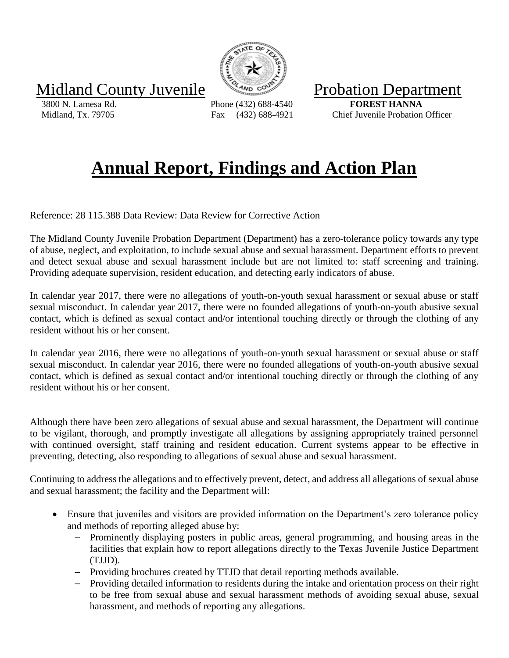Midland County Juvenile Williams County Juvenile

 3800 N. Lamesa Rd. Phone (432) 688-4540 **FOREST HANNA** Midland, Tx. 79705 Fax (432) 688-4921 Chief Juvenile Probation Officer

## **Annual Report, Findings and Action Plan**

Reference: 28 115.388 Data Review: Data Review for Corrective Action

The Midland County Juvenile Probation Department (Department) has a zero-tolerance policy towards any type of abuse, neglect, and exploitation, to include sexual abuse and sexual harassment. Department efforts to prevent and detect sexual abuse and sexual harassment include but are not limited to: staff screening and training. Providing adequate supervision, resident education, and detecting early indicators of abuse.

In calendar year 2017, there were no allegations of youth-on-youth sexual harassment or sexual abuse or staff sexual misconduct. In calendar year 2017, there were no founded allegations of youth-on-youth abusive sexual contact, which is defined as sexual contact and/or intentional touching directly or through the clothing of any resident without his or her consent.

In calendar year 2016, there were no allegations of youth-on-youth sexual harassment or sexual abuse or staff sexual misconduct. In calendar year 2016, there were no founded allegations of youth-on-youth abusive sexual contact, which is defined as sexual contact and/or intentional touching directly or through the clothing of any resident without his or her consent.

Although there have been zero allegations of sexual abuse and sexual harassment, the Department will continue to be vigilant, thorough, and promptly investigate all allegations by assigning appropriately trained personnel with continued oversight, staff training and resident education. Current systems appear to be effective in preventing, detecting, also responding to allegations of sexual abuse and sexual harassment.

Continuing to address the allegations and to effectively prevent, detect, and address all allegations of sexual abuse and sexual harassment; the facility and the Department will:

- Ensure that juveniles and visitors are provided information on the Department's zero tolerance policy and methods of reporting alleged abuse by:
	- Prominently displaying posters in public areas, general programming, and housing areas in the facilities that explain how to report allegations directly to the Texas Juvenile Justice Department (TJJD).
	- Providing brochures created by TTJD that detail reporting methods available.
	- Providing detailed information to residents during the intake and orientation process on their right to be free from sexual abuse and sexual harassment methods of avoiding sexual abuse, sexual harassment, and methods of reporting any allegations.